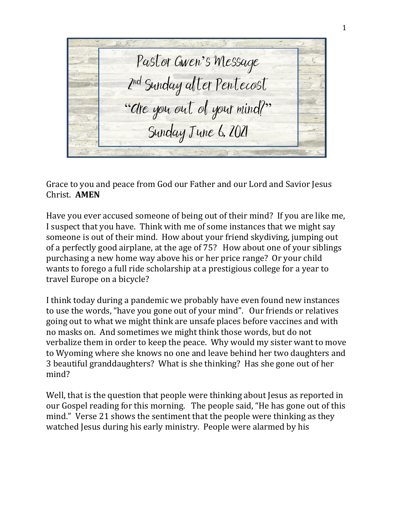Pastor Gwen's Message 2 nd Sunday after Pentecost "Are you out of your mind?" Sunday June 6, 2021

Grace to you and peace from God our Father and our Lord and Savior Jesus Christ. **AMEN**

Have you ever accused someone of being out of their mind? If you are like me, I suspect that you have. Think with me of some instances that we might say someone is out of their mind. How about your friend skydiving, jumping out of a perfectly good airplane, at the age of 75? How about one of your siblings purchasing a new home way above his or her price range? Or your child wants to forego a full ride scholarship at a prestigious college for a year to travel Europe on a bicycle?

I think today during a pandemic we probably have even found new instances to use the words, "have you gone out of your mind". Our friends or relatives going out to what we might think are unsafe places before vaccines and with no masks on. And sometimes we might think those words, but do not verbalize them in order to keep the peace. Why would my sister want to move to Wyoming where she knows no one and leave behind her two daughters and 3 beautiful granddaughters? What is she thinking? Has she gone out of her mind?

Well, that is the question that people were thinking about Jesus as reported in our Gospel reading for this morning. The people said, "He has gone out of this mind." Verse 21 shows the sentiment that the people were thinking as they watched Jesus during his early ministry. People were alarmed by his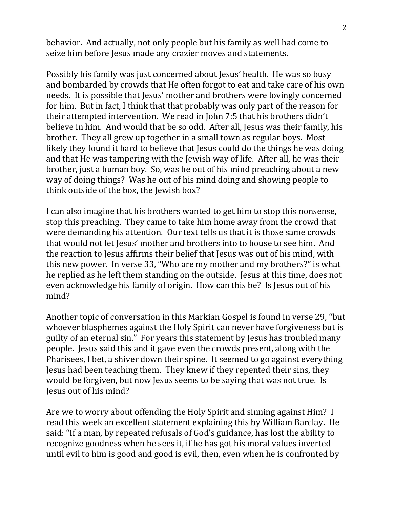behavior. And actually, not only people but his family as well had come to seize him before Jesus made any crazier moves and statements.

Possibly his family was just concerned about Jesus' health. He was so busy and bombarded by crowds that He often forgot to eat and take care of his own needs. It is possible that Jesus' mother and brothers were lovingly concerned for him. But in fact, I think that that probably was only part of the reason for their attempted intervention. We read in John 7:5 that his brothers didn't believe in him. And would that be so odd. After all, Jesus was their family, his brother. They all grew up together in a small town as regular boys. Most likely they found it hard to believe that Jesus could do the things he was doing and that He was tampering with the Jewish way of life. After all, he was their brother, just a human boy. So, was he out of his mind preaching about a new way of doing things? Was he out of his mind doing and showing people to think outside of the box, the Jewish box?

I can also imagine that his brothers wanted to get him to stop this nonsense, stop this preaching. They came to take him home away from the crowd that were demanding his attention. Our text tells us that it is those same crowds that would not let Jesus' mother and brothers into to house to see him. And the reaction to Jesus affirms their belief that Jesus was out of his mind, with this new power. In verse 33, "Who are my mother and my brothers?" is what he replied as he left them standing on the outside. Jesus at this time, does not even acknowledge his family of origin. How can this be? Is Jesus out of his mind?

Another topic of conversation in this Markian Gospel is found in verse 29, "but whoever blasphemes against the Holy Spirit can never have forgiveness but is guilty of an eternal sin." For years this statement by Jesus has troubled many people. Jesus said this and it gave even the crowds present, along with the Pharisees, I bet, a shiver down their spine. It seemed to go against everything Jesus had been teaching them. They knew if they repented their sins, they would be forgiven, but now Jesus seems to be saying that was not true. Is Jesus out of his mind?

Are we to worry about offending the Holy Spirit and sinning against Him? I read this week an excellent statement explaining this by William Barclay. He said: "If a man, by repeated refusals of God's guidance, has lost the ability to recognize goodness when he sees it, if he has got his moral values inverted until evil to him is good and good is evil, then, even when he is confronted by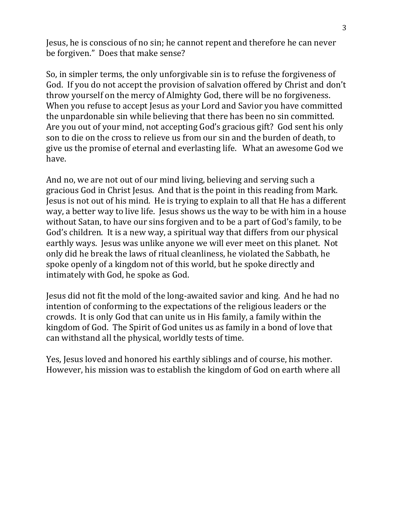Jesus, he is conscious of no sin; he cannot repent and therefore he can never be forgiven." Does that make sense?

So, in simpler terms, the only unforgivable sin is to refuse the forgiveness of God. If you do not accept the provision of salvation offered by Christ and don't throw yourself on the mercy of Almighty God, there will be no forgiveness. When you refuse to accept Jesus as your Lord and Savior you have committed the unpardonable sin while believing that there has been no sin committed. Are you out of your mind, not accepting God's gracious gift? God sent his only son to die on the cross to relieve us from our sin and the burden of death, to give us the promise of eternal and everlasting life. What an awesome God we have.

And no, we are not out of our mind living, believing and serving such a gracious God in Christ Jesus. And that is the point in this reading from Mark. Jesus is not out of his mind. He is trying to explain to all that He has a different way, a better way to live life. Jesus shows us the way to be with him in a house without Satan, to have our sins forgiven and to be a part of God's family, to be God's children. It is a new way, a spiritual way that differs from our physical earthly ways. Jesus was unlike anyone we will ever meet on this planet. Not only did he break the laws of ritual cleanliness, he violated the Sabbath, he spoke openly of a kingdom not of this world, but he spoke directly and intimately with God, he spoke as God.

Jesus did not fit the mold of the long-awaited savior and king. And he had no intention of conforming to the expectations of the religious leaders or the crowds. It is only God that can unite us in His family, a family within the kingdom of God. The Spirit of God unites us as family in a bond of love that can withstand all the physical, worldly tests of time.

Yes, Jesus loved and honored his earthly siblings and of course, his mother. However, his mission was to establish the kingdom of God on earth where all